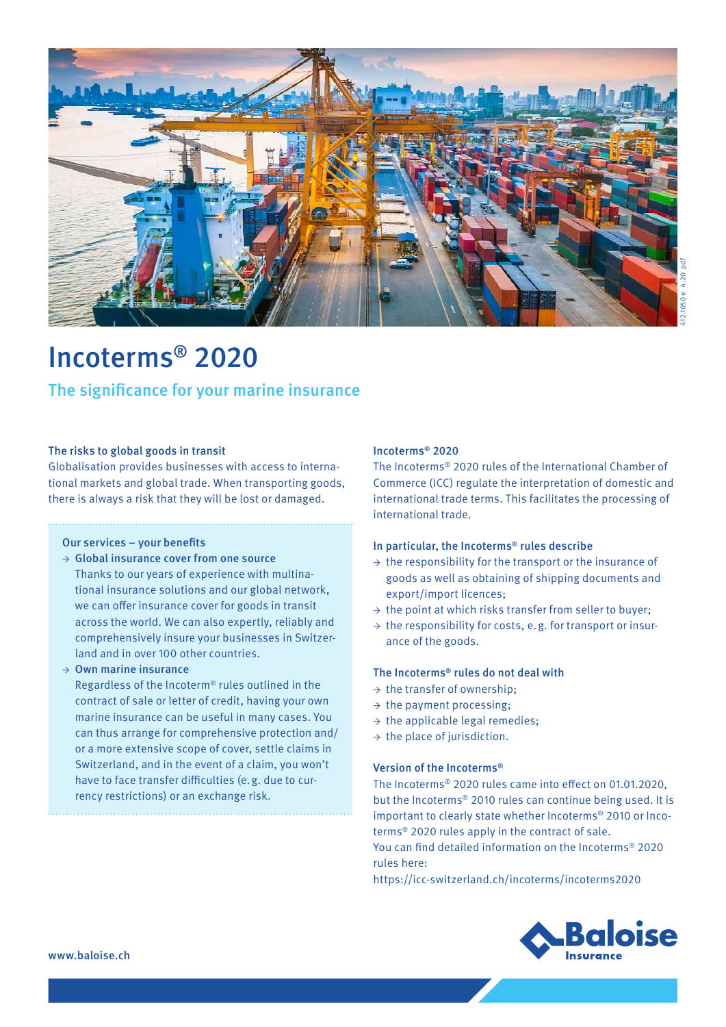

# Incoterms ® 2020

# The significance for your marine insurance

#### The risks to global goods in transit

Globalisation provides businesses with access to international markets and global trade. When transporting goods, there is always a risk that they will be lost or damaged.

### Our services – your benefits

**→** Global insurance cover from one source Thanks to our years of experience with multinational insurance solutions and our global network, we can offer insurance cover for goods in transit across the world. We can also expertly, reliably and comprehensively insure your businesses in Switzerland and in over 100 other countries.

**→** Own marine insurance

Regardless of the Incoterm® rules outlined in the contract of sale or letter of credit, having your own marine insurance can be useful in many cases. You can thus arrange for comprehensive protection and/ or a more extensive scope of cover, settle claims in Switzerland, and in the event of a claim, you won't have to face transfer difficulties (e.g. due to currency restrictions) or an exchange risk.

#### Incoterms ® 2020

The Incoterms ® 2020 rules of the International Chamber of Commerce (ICC) regulate the interpretation of domestic and international trade terms. This facilitates the processing of international trade.

#### In particular, the Incoterms ® rules describe

- **→** the responsibility for the transport or the insurance of goods as well as obtaining of shipping documents and export/import licences;
- **→** the point at which risks transfer from seller to buyer;
- **→** the responsibility for costs, e.g. for transport or insurance of the goods.

#### The Incoterms ® rules do not deal with

- **→** the transfer of ownership;
- **→** the payment processing;
- **→** the applicable legal remedies;
- **→** the place of jurisdiction.

#### Version of the Incoterms ®

The Incoterms ® 2020 rules came into effect on 01.01.2020, but the Incoterms ® 2010 rules can continue being used. It is important to clearly state whether Incoterms ® 2010 or Incoterms ® 2020 rules apply in the contract of sale. You can find detailed information on the Incoterms ® 2020

rules here:

https://icc-switzerland.ch/incoterms/incoterms2020

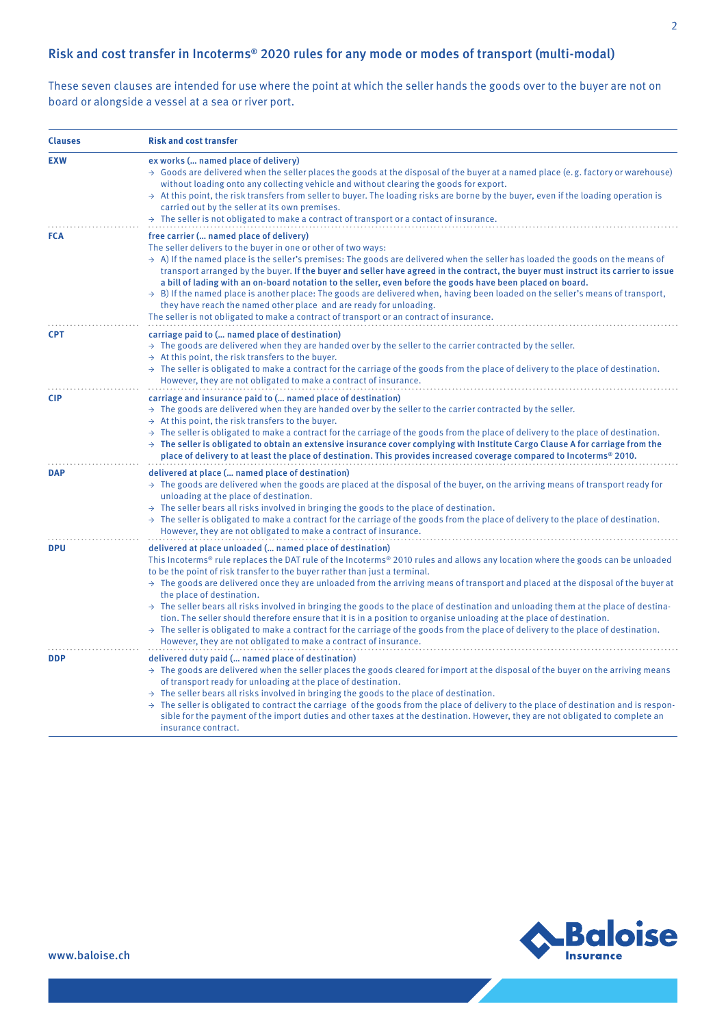## Risk and cost transfer in Incoterms ® 2020 rules for any mode or modes of transport (multi-modal)

These seven clauses are intended for use where the point at which the seller hands the goods over to the buyer are not on board or alongside a vessel at a sea or river port.

| <b>Clauses</b> | <b>Risk and cost transfer</b>                                                                                                                                                                                                                                                                                                                                                                                                                                                                                                                                                                                                                                                                                                                                                                                                                                                                                                                            |
|----------------|----------------------------------------------------------------------------------------------------------------------------------------------------------------------------------------------------------------------------------------------------------------------------------------------------------------------------------------------------------------------------------------------------------------------------------------------------------------------------------------------------------------------------------------------------------------------------------------------------------------------------------------------------------------------------------------------------------------------------------------------------------------------------------------------------------------------------------------------------------------------------------------------------------------------------------------------------------|
| <b>EXW</b>     | ex works ( named place of delivery)<br>$\rightarrow$ Goods are delivered when the seller places the goods at the disposal of the buyer at a named place (e.g. factory or warehouse)<br>without loading onto any collecting vehicle and without clearing the goods for export.<br>$\rightarrow$ At this point, the risk transfers from seller to buyer. The loading risks are borne by the buyer, even if the loading operation is<br>carried out by the seller at its own premises.<br>$\rightarrow$ The seller is not obligated to make a contract of transport or a contact of insurance.                                                                                                                                                                                                                                                                                                                                                              |
| <b>FCA</b>     | free carrier ( named place of delivery)<br>The seller delivers to the buyer in one or other of two ways:<br>$\rightarrow$ A) If the named place is the seller's premises: The goods are delivered when the seller has loaded the goods on the means of<br>transport arranged by the buyer. If the buyer and seller have agreed in the contract, the buyer must instruct its carrier to issue<br>a bill of lading with an on-board notation to the seller, even before the goods have been placed on board.<br>$\rightarrow$ B) If the named place is another place: The goods are delivered when, having been loaded on the seller's means of transport,<br>they have reach the named other place and are ready for unloading.<br>The seller is not obligated to make a contract of transport or an contract of insurance.                                                                                                                               |
| <b>CPT</b>     | carriage paid to ( named place of destination)<br>$\rightarrow$ The goods are delivered when they are handed over by the seller to the carrier contracted by the seller.<br>$\rightarrow$ At this point, the risk transfers to the buyer.<br>$\rightarrow$ The seller is obligated to make a contract for the carriage of the goods from the place of delivery to the place of destination.<br>However, they are not obligated to make a contract of insurance.                                                                                                                                                                                                                                                                                                                                                                                                                                                                                          |
| <b>CIP</b>     | carriage and insurance paid to ( named place of destination)<br>$\rightarrow$ The goods are delivered when they are handed over by the seller to the carrier contracted by the seller.<br>$\rightarrow$ At this point, the risk transfers to the buyer.<br>$\rightarrow$ The seller is obligated to make a contract for the carriage of the goods from the place of delivery to the place of destination.<br>$\rightarrow$ The seller is obligated to obtain an extensive insurance cover complying with Institute Cargo Clause A for carriage from the<br>place of delivery to at least the place of destination. This provides increased coverage compared to Incoterms <sup>®</sup> 2010.                                                                                                                                                                                                                                                             |
| <b>DAP</b>     | delivered at place ( named place of destination)<br>$\rightarrow$ The goods are delivered when the goods are placed at the disposal of the buyer, on the arriving means of transport ready for<br>unloading at the place of destination.<br>$\rightarrow$ The seller bears all risks involved in bringing the goods to the place of destination.<br>$\rightarrow$ The seller is obligated to make a contract for the carriage of the goods from the place of delivery to the place of destination.<br>However, they are not obligated to make a contract of insurance.                                                                                                                                                                                                                                                                                                                                                                                   |
| <b>DPU</b>     | delivered at place unloaded ( named place of destination)<br>This Incoterms® rule replaces the DAT rule of the Incoterms® 2010 rules and allows any location where the goods can be unloaded<br>to be the point of risk transfer to the buyer rather than just a terminal.<br>$\rightarrow$ The goods are delivered once they are unloaded from the arriving means of transport and placed at the disposal of the buyer at<br>the place of destination.<br>$\rightarrow$ The seller bears all risks involved in bringing the goods to the place of destination and unloading them at the place of destina-<br>tion. The seller should therefore ensure that it is in a position to organise unloading at the place of destination.<br>$\rightarrow$ The seller is obligated to make a contract for the carriage of the goods from the place of delivery to the place of destination.<br>However, they are not obligated to make a contract of insurance. |
| <b>DDP</b>     | delivered duty paid ( named place of destination)<br>$\rightarrow$ The goods are delivered when the seller places the goods cleared for import at the disposal of the buyer on the arriving means<br>of transport ready for unloading at the place of destination.<br>$\rightarrow$ The seller bears all risks involved in bringing the goods to the place of destination.<br>$\rightarrow$ The seller is obligated to contract the carriage of the goods from the place of delivery to the place of destination and is respon-<br>sible for the payment of the import duties and other taxes at the destination. However, they are not obligated to complete an<br>insurance contract.                                                                                                                                                                                                                                                                  |

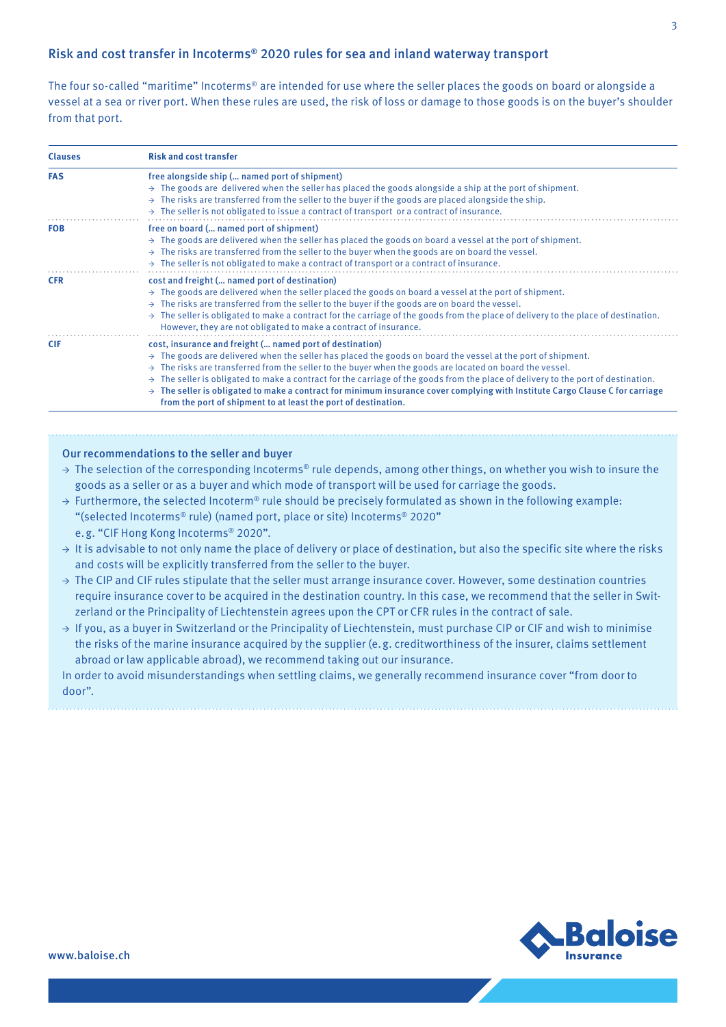## Risk and cost transfer in Incoterms ® 2020 rules for sea and inland waterway transport

The four so-called "maritime" Incoterms ® are intended for use where the seller places the goods on board or alongside a vessel at a sea or river port. When these rules are used, the risk of loss or damage to those goods is on the buyer's shoulder from that port.

| <b>Clauses</b> | <b>Risk and cost transfer</b>                                                                                                                                                                                                                                                                                                                                                                                                                                                                                                                                                                                                                                               |
|----------------|-----------------------------------------------------------------------------------------------------------------------------------------------------------------------------------------------------------------------------------------------------------------------------------------------------------------------------------------------------------------------------------------------------------------------------------------------------------------------------------------------------------------------------------------------------------------------------------------------------------------------------------------------------------------------------|
| <b>FAS</b>     | free alongside ship ( named port of shipment)<br>$\rightarrow$ The goods are delivered when the seller has placed the goods alongside a ship at the port of shipment.<br>$\rightarrow$ The risks are transferred from the seller to the buyer if the goods are placed alongside the ship.<br>$\rightarrow$ The seller is not obligated to issue a contract of transport or a contract of insurance.                                                                                                                                                                                                                                                                         |
| <b>FOB</b>     | free on board ( named port of shipment)<br>$\rightarrow$ The goods are delivered when the seller has placed the goods on board a vessel at the port of shipment.<br>$\rightarrow$ The risks are transferred from the seller to the buyer when the goods are on board the vessel.<br>$\rightarrow$ The seller is not obligated to make a contract of transport or a contract of insurance.                                                                                                                                                                                                                                                                                   |
| <b>CFR</b>     | cost and freight ( named port of destination)<br>$\rightarrow$ The goods are delivered when the seller placed the goods on board a vessel at the port of shipment.<br>$\rightarrow$ The risks are transferred from the seller to the buyer if the goods are on board the vessel.<br>$\rightarrow$ The seller is obligated to make a contract for the carriage of the goods from the place of delivery to the place of destination.<br>However, they are not obligated to make a contract of insurance.                                                                                                                                                                      |
| <b>CIF</b>     | cost, insurance and freight ( named port of destination)<br>$\rightarrow$ The goods are delivered when the seller has placed the goods on board the vessel at the port of shipment.<br>$\rightarrow$ The risks are transferred from the seller to the buyer when the goods are located on board the vessel.<br>$\rightarrow$ The seller is obligated to make a contract for the carriage of the goods from the place of delivery to the port of destination.<br>$\rightarrow$ The seller is obligated to make a contract for minimum insurance cover complying with Institute Cargo Clause C for carriage<br>from the port of shipment to at least the port of destination. |

## Our recommendations to the seller and buyer

→ The selection of the corresponding Incoterms® rule depends, among other things, on whether you wish to insure the goods as a seller or as a buyer and which mode of transport will be used for carriage the goods.

- **→** Furthermore, the selected Incoterm® rule should be precisely formulated as shown in the following example: "(selected Incoterms ® rule) (named port, place or site) Incoterms ® 2020" e.g. "CIF Hong Kong Incoterms ® 2020".
- **→** It is advisable to not only name the place of delivery or place of destination, but also the specific site where the risks and costs will be explicitly transferred from the seller to the buyer.
- **→** The CIP and CIF rules stipulate that the seller must arrange insurance cover. However, some destination countries require insurance cover to be acquired in the destination country. In this case, we recommend that the seller in Switzerland or the Principality of Liechtenstein agrees upon the CPT or CFR rules in the contract of sale.
- **→** If you, as a buyer in Switzerland or the Principality of Liechtenstein, must purchase CIP or CIF and wish to minimise the risks of the marine insurance acquired by the supplier (e.g. creditworthiness of the insurer, claims settlement abroad or law applicable abroad), we recommend taking out our insurance.

In order to avoid misunderstandings when settling claims, we generally recommend insurance cover "from door to door".